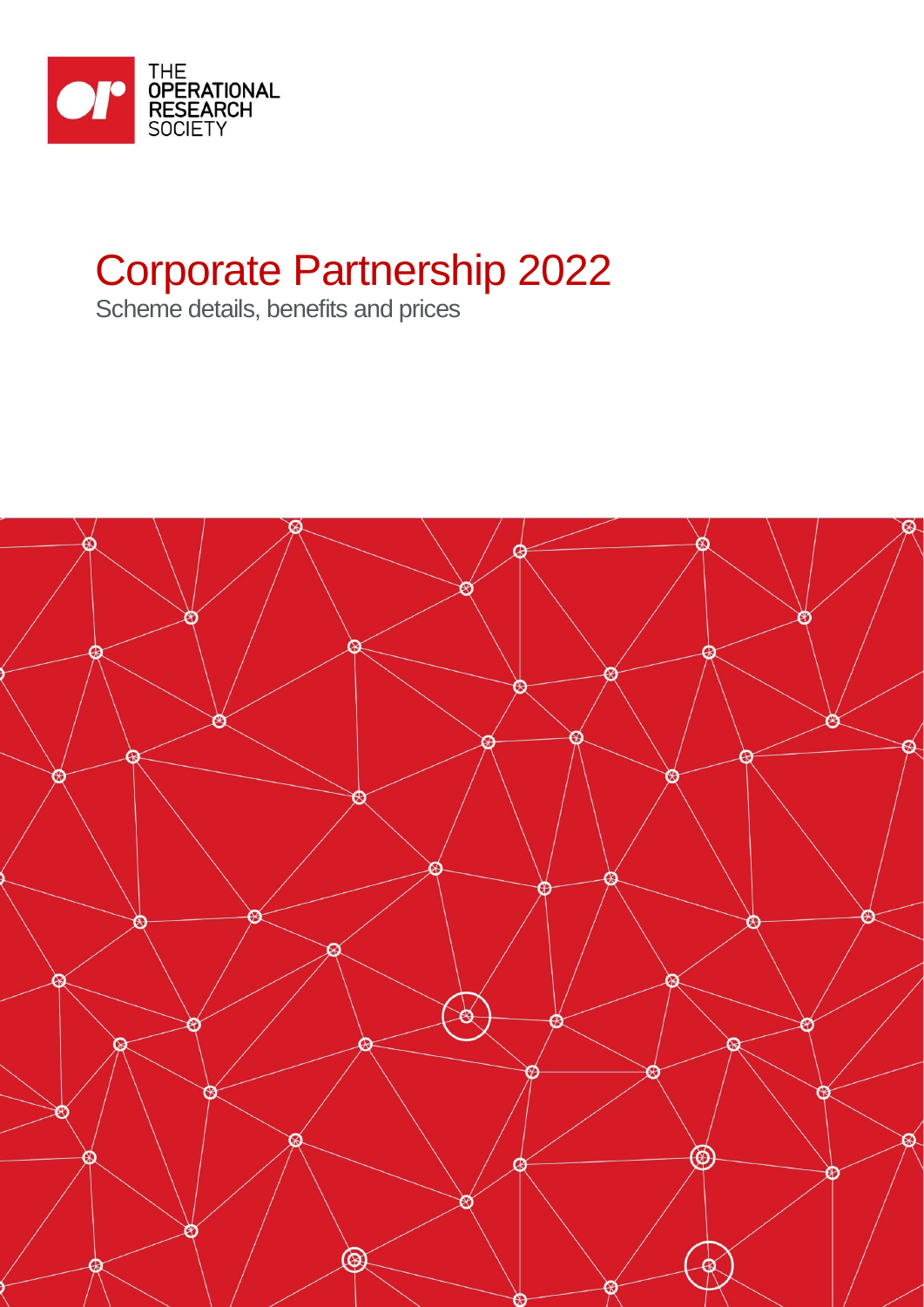

# Corporate Partnership 2022

Scheme details, benefits and prices

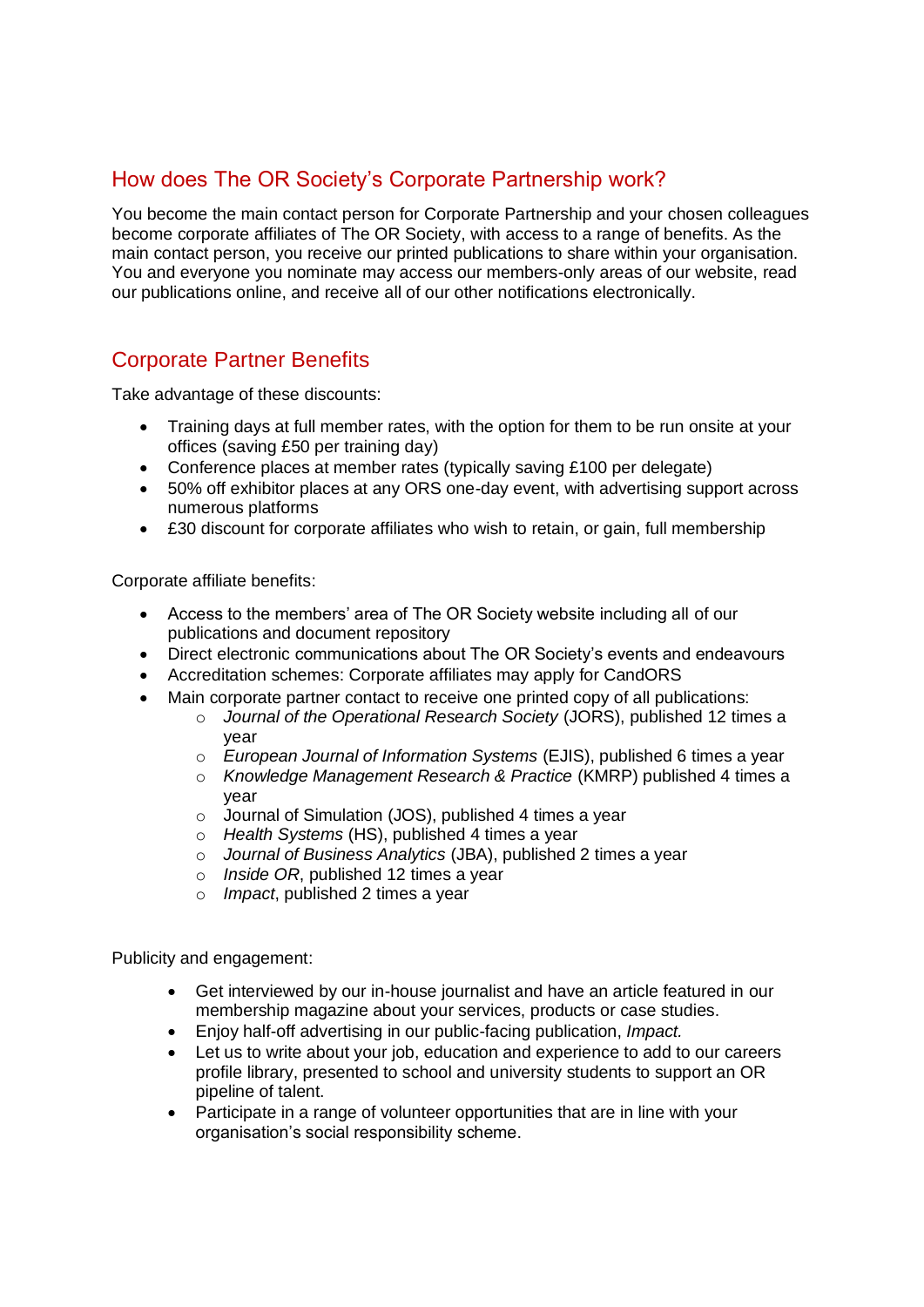### How does The OR Society's Corporate Partnership work?

You become the main contact person for Corporate Partnership and your chosen colleagues become corporate affiliates of The OR Society, with access to a range of benefits. As the main contact person, you receive our printed publications to share within your organisation. You and everyone you nominate may access our members-only areas of our website, read our publications online, and receive all of our other notifications electronically.

#### Corporate Partner Benefits

Take advantage of these discounts:

- Training days at full member rates, with the option for them to be run onsite at your offices (saving £50 per training day)
- Conference places at member rates (typically saving £100 per delegate)
- 50% off exhibitor places at any ORS one-day event, with advertising support across numerous platforms
- £30 discount for corporate affiliates who wish to retain, or gain, full membership

Corporate affiliate benefits:

- Access to the members' area of The OR Society website including all of our publications and document repository
- Direct electronic communications about The OR Society's events and endeavours
- Accreditation schemes: Corporate affiliates may apply for CandORS
- Main corporate partner contact to receive one printed copy of all publications:
	- o *Journal of the Operational Research Society* (JORS), published 12 times a year
	- o *European Journal of Information Systems* (EJIS), published 6 times a year
	- o *Knowledge Management Research & Practice* (KMRP) published 4 times a year
	- o Journal of Simulation (JOS), published 4 times a year
	- o *Health Systems* (HS), published 4 times a year
	- o *Journal of Business Analytics* (JBA), published 2 times a year
	- o *Inside OR*, published 12 times a year
	- o *Impact*, published 2 times a year

Publicity and engagement:

- Get interviewed by our in-house journalist and have an article featured in our membership magazine about your services, products or case studies.
- Enjoy half-off advertising in our public-facing publication, *Impact.*
- Let us to write about your job, education and experience to add to our careers profile library, presented to school and university students to support an OR pipeline of talent.
- Participate in a range of volunteer opportunities that are in line with your organisation's social responsibility scheme.